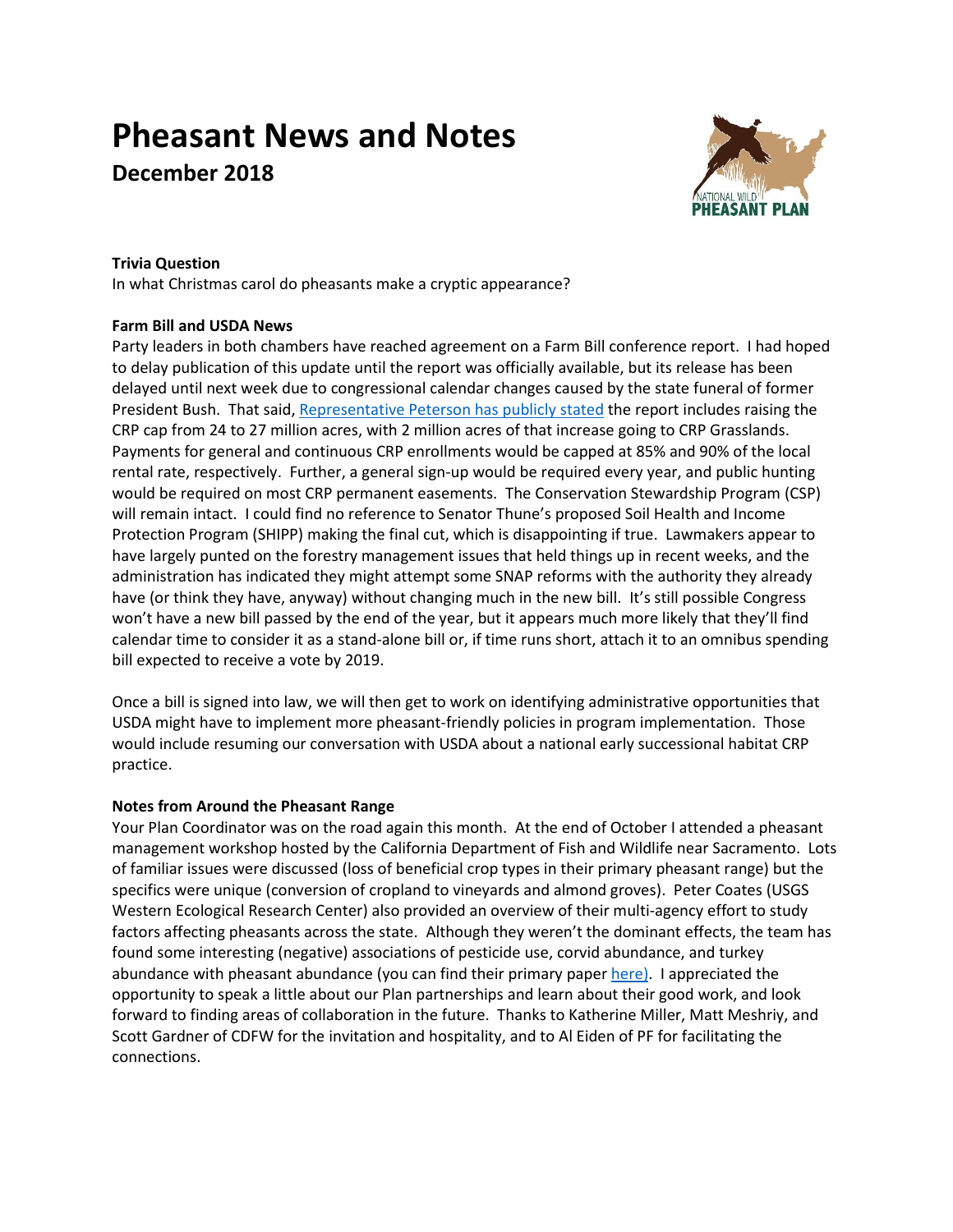# **Pheasant News and Notes December 2018**



# **Trivia Question**

In what Christmas carol do pheasants make a cryptic appearance?

# **Farm Bill and USDA News**

Party leaders in both chambers have reached agreement on a Farm Bill conference report. I had hoped to delay publication of this update until the report was officially available, but its release has been delayed until next week due to congressional calendar changes caused by the state funeral of former President Bush. That said, [Representative Peterson has publicly](http://www.oklahomafarmreport.com/wire/news/2018/12/01114_CollinPetersonFarmBillInsights12042018_120630.php#.XAf6_mjYqUl) stated the report includes raising the CRP cap from 24 to 27 million acres, with 2 million acres of that increase going to CRP Grasslands. Payments for general and continuous CRP enrollments would be capped at 85% and 90% of the local rental rate, respectively. Further, a general sign-up would be required every year, and public hunting would be required on most CRP permanent easements. The Conservation Stewardship Program (CSP) will remain intact. I could find no reference to Senator Thune's proposed Soil Health and Income Protection Program (SHIPP) making the final cut, which is disappointing if true. Lawmakers appear to have largely punted on the forestry management issues that held things up in recent weeks, and the administration has indicated they might attempt some SNAP reforms with the authority they already have (or think they have, anyway) without changing much in the new bill. It's still possible Congress won't have a new bill passed by the end of the year, but it appears much more likely that they'll find calendar time to consider it as a stand-alone bill or, if time runs short, attach it to an omnibus spending bill expected to receive a vote by 2019.

Once a bill is signed into law, we will then get to work on identifying administrative opportunities that USDA might have to implement more pheasant-friendly policies in program implementation. Those would include resuming our conversation with USDA about a national early successional habitat CRP practice.

## **Notes from Around the Pheasant Range**

Your Plan Coordinator was on the road again this month. At the end of October I attended a pheasant management workshop hosted by the California Department of Fish and Wildlife near Sacramento. Lots of familiar issues were discussed (loss of beneficial crop types in their primary pheasant range) but the specifics were unique (conversion of cropland to vineyards and almond groves). Peter Coates (USGS Western Ecological Research Center) also provided an overview of their multi-agency effort to study factors affecting pheasants across the state. Although they weren't the dominant effects, the team has found some interesting (negative) associations of pesticide use, corvid abundance, and turkey abundance with pheasant abundance (you can find their primary pape[r here\).](https://onlinelibrary.wiley.com/doi/full/10.1002/ece3.2675) I appreciated the opportunity to speak a little about our Plan partnerships and learn about their good work, and look forward to finding areas of collaboration in the future. Thanks to Katherine Miller, Matt Meshriy, and Scott Gardner of CDFW for the invitation and hospitality, and to Al Eiden of PF for facilitating the connections.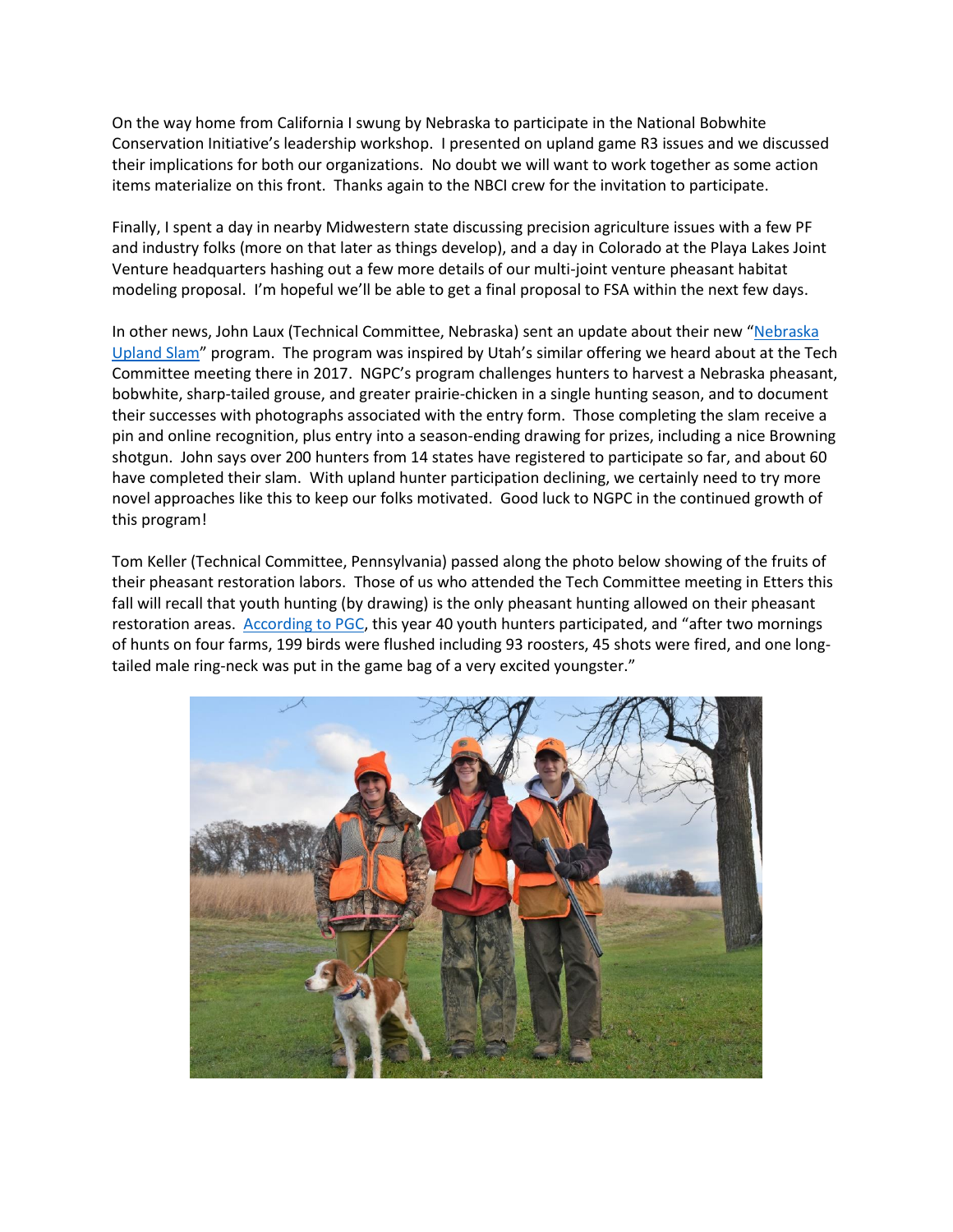On the way home from California I swung by Nebraska to participate in the National Bobwhite Conservation Initiative's leadership workshop. I presented on upland game R3 issues and we discussed their implications for both our organizations. No doubt we will want to work together as some action items materialize on this front. Thanks again to the NBCI crew for the invitation to participate.

Finally, I spent a day in nearby Midwestern state discussing precision agriculture issues with a few PF and industry folks (more on that later as things develop), and a day in Colorado at the Playa Lakes Joint Venture headquarters hashing out a few more details of our multi-joint venture pheasant habitat modeling proposal. I'm hopeful we'll be able to get a final proposal to FSA within the next few days.

In other news, John Laux (Technical Committee, Nebraska) sent an update about their new "[Nebraska](http://outdoornebraska.gov/UplandSlam/)  [Upland Slam](http://outdoornebraska.gov/UplandSlam/)" program. The program was inspired by Utah's similar offering we heard about at the Tech Committee meeting there in 2017. NGPC's program challenges hunters to harvest a Nebraska pheasant, bobwhite, sharp-tailed grouse, and greater prairie-chicken in a single hunting season, and to document their successes with photographs associated with the entry form. Those completing the slam receive a pin and online recognition, plus entry into a season-ending drawing for prizes, including a nice Browning shotgun. John says over 200 hunters from 14 states have registered to participate so far, and about 60 have completed their slam. With upland hunter participation declining, we certainly need to try more novel approaches like this to keep our folks motivated. Good luck to NGPC in the continued growth of this program!

Tom Keller (Technical Committee, Pennsylvania) passed along the photo below showing of the fruits of their pheasant restoration labors. Those of us who attended the Tech Committee meeting in Etters this fall will recall that youth hunting (by drawing) is the only pheasant hunting allowed on their pheasant restoration areas. [According to PGC,](https://www.media.pa.gov/Pages/Game-Commission-Details.aspx?newsid=267) this year 40 youth hunters participated, and "after two mornings of hunts on four farms, 199 birds were flushed including 93 roosters, 45 shots were fired, and one longtailed male ring-neck was put in the game bag of a very excited youngster."

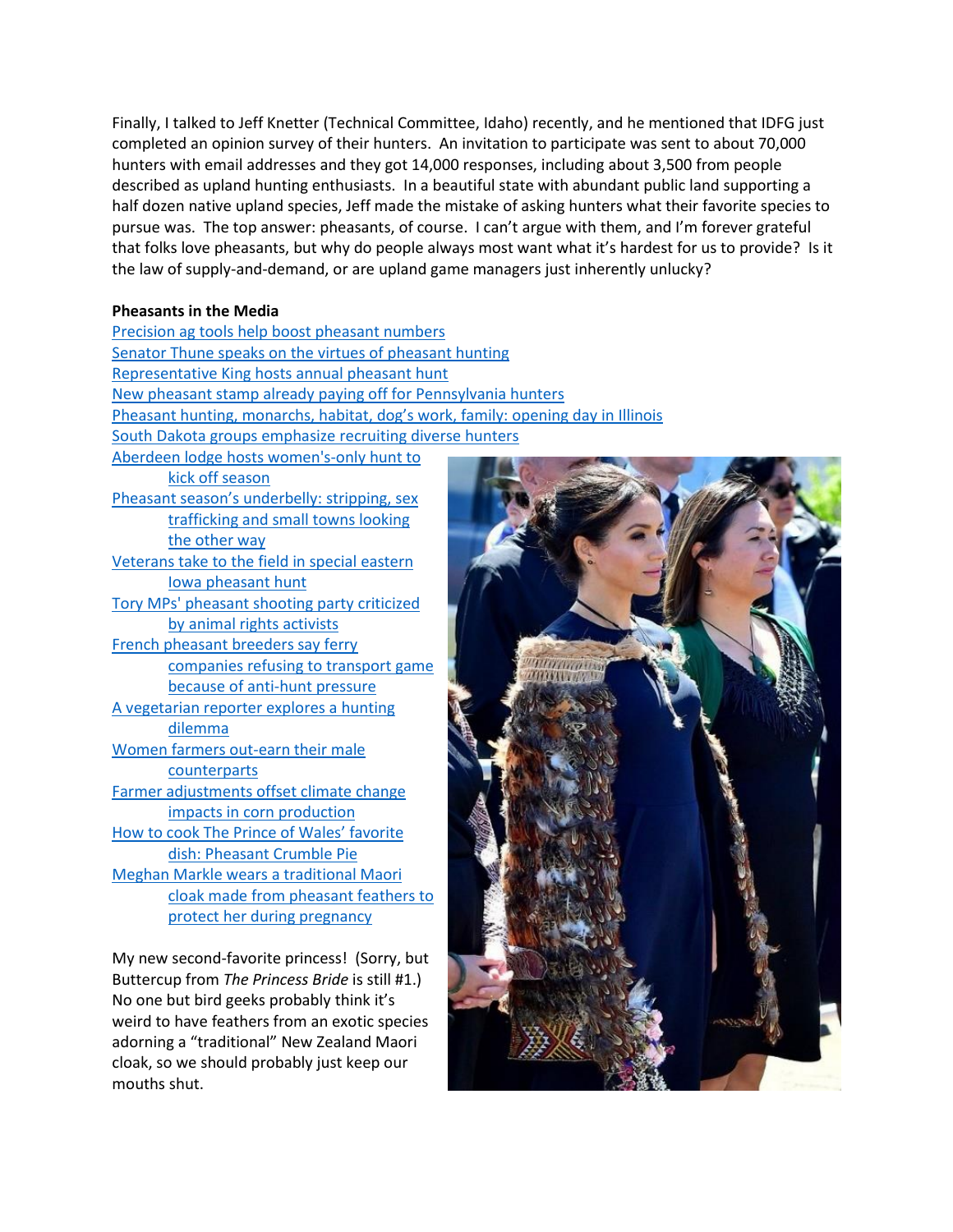Finally, I talked to Jeff Knetter (Technical Committee, Idaho) recently, and he mentioned that IDFG just completed an opinion survey of their hunters. An invitation to participate was sent to about 70,000 hunters with email addresses and they got 14,000 responses, including about 3,500 from people described as upland hunting enthusiasts. In a beautiful state with abundant public land supporting a half dozen native upland species, Jeff made the mistake of asking hunters what their favorite species to pursue was. The top answer: pheasants, of course. I can't argue with them, and I'm forever grateful that folks love pheasants, but why do people always most want what it's hardest for us to provide? Is it the law of supply-and-demand, or are upland game managers just inherently unlucky?

## **Pheasants in the Media**

[Precision ag tools help boost pheasant numbers](https://www.dakotafarmer.com/farm-operation/precision-ag-tools-help-boost-pheasant-numbers) [Senator Thune speaks on the virtues of pheasant hunting](https://kelo.com/news/articles/2018/oct/23/video-sen-thune-likes-pheasant-hunting/) [Representative King hosts annual pheasant hunt](https://ktiv.com/2018/10/27/steve-king-host-annual-pheasant-hunt/) [New pheasant stamp already paying off for Pennsylvania hunters](https://lancasteronline.com/sports/outdoors/new-pheasant-stamp-already-paying-off-for-hunters/article_726b3d50-dab6-11e8-98dd-a3a4684f94c2.html) [Pheasant hunting, monarchs, habitat, dog's work, family:](https://chicago.suntimes.com/environment/pheasant-hunting-monarchs-habitat-dogs-work-family-opening-day-illinois/) opening day in Illinois [South Dakota groups emphasize recruiting diverse hunters](https://www.usnews.com/news/best-states/south-dakota/articles/2018-11-05/south-dakota-groups-emphasize-recruiting-diverse-hunters) [Aberdeen lodge hosts women's-only hunt to](https://www.usnews.com/news/best-states/south-dakota/articles/2018-10-27/aberdeen-lodge-hosts-womens-only-hunt-to-kick-off-season)  [kick off season](https://www.usnews.com/news/best-states/south-dakota/articles/2018-10-27/aberdeen-lodge-hosts-womens-only-hunt-to-kick-off-season) Pheasant season's underbelly[: stripping, sex](https://www.argusleader.com/story/news/business-journal/2018/11/16/south-dakota-pheasant-hunting-season-sex-trafficking-strip-clubs-frank-days/1947984002/)  [trafficking and small towns looking](https://www.argusleader.com/story/news/business-journal/2018/11/16/south-dakota-pheasant-hunting-season-sex-trafficking-strip-clubs-frank-days/1947984002/)  [the other way](https://www.argusleader.com/story/news/business-journal/2018/11/16/south-dakota-pheasant-hunting-season-sex-trafficking-strip-clubs-frank-days/1947984002/) [Veterans take to the field in special eastern](https://www.radioiowa.com/2018/10/22/veterans-take-to-the-field-in-special-eastern-iowa-pheasant-hunt/)  [Iowa pheasant hunt](https://www.radioiowa.com/2018/10/22/veterans-take-to-the-field-in-special-eastern-iowa-pheasant-hunt/) [Tory MPs' pheasant shooting party criticized](https://www.theguardian.com/uk-news/2018/nov/27/tory-mps-shooting-party-criticised-by-animal-rights-activists)  [by animal rights activists](https://www.theguardian.com/uk-news/2018/nov/27/tory-mps-shooting-party-criticised-by-animal-rights-activists) [French pheasant breeders say ferry](https://www.telegraph.co.uk/news/2018/10/24/french-pheasant-breeders-say-ferry-companies-refusing-transport/)  [companies refusing to transport game](https://www.telegraph.co.uk/news/2018/10/24/french-pheasant-breeders-say-ferry-companies-refusing-transport/)  [because of anti-hunt pressure](https://www.telegraph.co.uk/news/2018/10/24/french-pheasant-breeders-say-ferry-companies-refusing-transport/) [A vegetarian reporter explores a hunting](https://www.nytimes.com/2018/11/24/reader-center/vegetarian-hunting-ammunition-lead-bullets.html?action=click&module=Top+Stories&pgtype=Homepage&fbclid=IwAR1juxkd0LEZvRTKQVstvbBzAYawQc5Jnhiyd1gAPRQkak4Kx3IpbqiIpKk)  [dilemma](https://www.nytimes.com/2018/11/24/reader-center/vegetarian-hunting-ammunition-lead-bullets.html?action=click&module=Top+Stories&pgtype=Homepage&fbclid=IwAR1juxkd0LEZvRTKQVstvbBzAYawQc5Jnhiyd1gAPRQkak4Kx3IpbqiIpKk) [Women farmers out-earn their male](https://www.cnbc.com/2018/10/30/women-farmers-outearned-men-farmers-in-2017.html)  **[counterparts](https://www.cnbc.com/2018/10/30/women-farmers-outearned-men-farmers-in-2017.html)** [Farmer adjustments offset climate change](https://twin-cities.umn.edu/news-events/research-brief-research-shows-farmer-adjustments-offset-climate-change-impacts-corn)  [impacts in corn production](https://twin-cities.umn.edu/news-events/research-brief-research-shows-farmer-adjustments-offset-climate-change-impacts-corn) [How to cook The Prince of Wales' favorite](https://www.countrylife.co.uk/food-drink/recipes/pheasant-crumble-pie-188476)  [dish: Pheasant Crumble Pie](https://www.countrylife.co.uk/food-drink/recipes/pheasant-crumble-pie-188476) [Meghan Markle wears a traditional Maori](https://www.dailymail.co.uk/news/article-6335477/Meghan-Markle-Prince-Harry-arrive-Rotorua-final-day-marathon-royal-tour.html)  [cloak made from pheasant feathers to](https://www.dailymail.co.uk/news/article-6335477/Meghan-Markle-Prince-Harry-arrive-Rotorua-final-day-marathon-royal-tour.html)  [protect her during pregnancy](https://www.dailymail.co.uk/news/article-6335477/Meghan-Markle-Prince-Harry-arrive-Rotorua-final-day-marathon-royal-tour.html)

My new second-favorite princess! (Sorry, but Buttercup from *The Princess Bride* is still #1.) No one but bird geeks probably think it's weird to have feathers from an exotic species adorning a "traditional" New Zealand Maori cloak, so we should probably just keep our mouths shut.